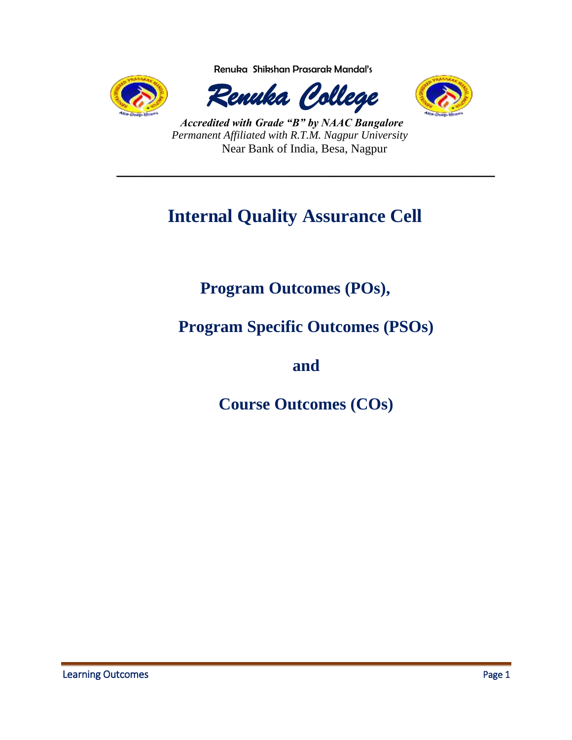

Renuka Shikshan Prasarak Mandal's





 *Accredited with Grade "B" by NAAC Bangalore Permanent Affiliated with R.T.M. Nagpur University* Near Bank of India, Besa, Nagpur

# **Internal Quality Assurance Cell**

**\_\_\_\_\_\_\_\_\_\_\_\_\_\_\_\_\_\_\_\_\_\_\_\_\_\_\_\_\_\_\_\_\_\_\_\_\_\_\_\_\_\_\_\_\_**

# **Program Outcomes (POs),**

# **Program Specific Outcomes (PSOs)**

## **and**

**Course Outcomes (COs)**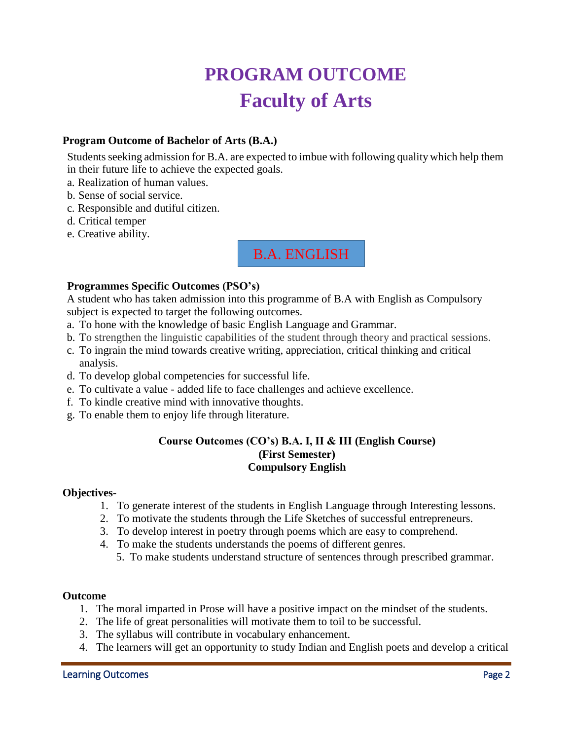# **PROGRAM OUTCOME Faculty of Arts**

## **Program Outcome of Bachelor of Arts (B.A.)**

Students seeking admission for B.A. are expected to imbue with following quality which help them in their future life to achieve the expected goals.

- a. Realization of human values.
- b. Sense of social service.
- c. Responsible and dutiful citizen.
- d. Critical temper
- e. Creative ability.



#### **Programmes Specific Outcomes (PSO's)**

A student who has taken admission into this programme of B.A with English as Compulsory subject is expected to target the following outcomes.

- a. To hone with the knowledge of basic English Language and Grammar.
- b. To strengthen the linguistic capabilities of the student through theory and practical sessions.
- c. To ingrain the mind towards creative writing, appreciation, critical thinking and critical analysis.
- d. To develop global competencies for successful life.
- e. To cultivate a value added life to face challenges and achieve excellence.
- f. To kindle creative mind with innovative thoughts.
- g. To enable them to enjoy life through literature.

#### **Course Outcomes (CO's) B.A. I, II & III (English Course) (First Semester) Compulsory English**

#### **Objectives-**

- 1. To generate interest of the students in English Language through Interesting lessons.
- 2. To motivate the students through the Life Sketches of successful entrepreneurs.
- 3. To develop interest in poetry through poems which are easy to comprehend.
- 4. To make the students understands the poems of different genres.
	- 5. To make students understand structure of sentences through prescribed grammar.

#### **Outcome**

- 1. The moral imparted in Prose will have a positive impact on the mindset of the students.
- 2. The life of great personalities will motivate them to toil to be successful.
- 3. The syllabus will contribute in vocabulary enhancement.
- 4. The learners will get an opportunity to study Indian and English poets and develop a critical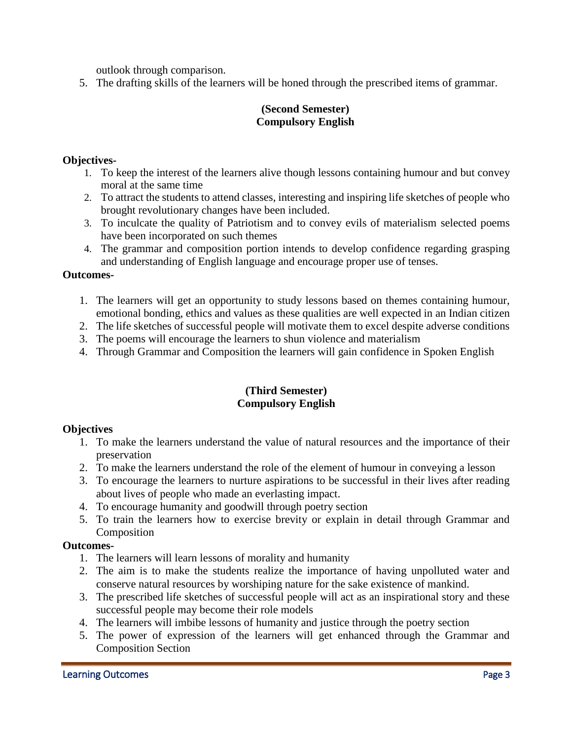outlook through comparison.

5. The drafting skills of the learners will be honed through the prescribed items of grammar.

## **(Second Semester) Compulsory English**

## **Objectives-**

- 1. To keep the interest of the learners alive though lessons containing humour and but convey moral at the same time
- 2. To attract the students to attend classes, interesting and inspiring life sketches of people who brought revolutionary changes have been included.
- 3. To inculcate the quality of Patriotism and to convey evils of materialism selected poems have been incorporated on such themes
- 4. The grammar and composition portion intends to develop confidence regarding grasping and understanding of English language and encourage proper use of tenses.

## **Outcomes-**

- 1. The learners will get an opportunity to study lessons based on themes containing humour, emotional bonding, ethics and values as these qualities are well expected in an Indian citizen
- 2. The life sketches of successful people will motivate them to excel despite adverse conditions
- 3. The poems will encourage the learners to shun violence and materialism
- 4. Through Grammar and Composition the learners will gain confidence in Spoken English

#### **(Third Semester) Compulsory English**

## **Objectives**

- 1. To make the learners understand the value of natural resources and the importance of their preservation
- 2. To make the learners understand the role of the element of humour in conveying a lesson
- 3. To encourage the learners to nurture aspirations to be successful in their lives after reading about lives of people who made an everlasting impact.
- 4. To encourage humanity and goodwill through poetry section
- 5. To train the learners how to exercise brevity or explain in detail through Grammar and Composition

## **Outcomes-**

- 1. The learners will learn lessons of morality and humanity
- 2. The aim is to make the students realize the importance of having unpolluted water and conserve natural resources by worshiping nature for the sake existence of mankind.
- 3. The prescribed life sketches of successful people will act as an inspirational story and these successful people may become their role models
- 4. The learners will imbibe lessons of humanity and justice through the poetry section
- 5. The power of expression of the learners will get enhanced through the Grammar and Composition Section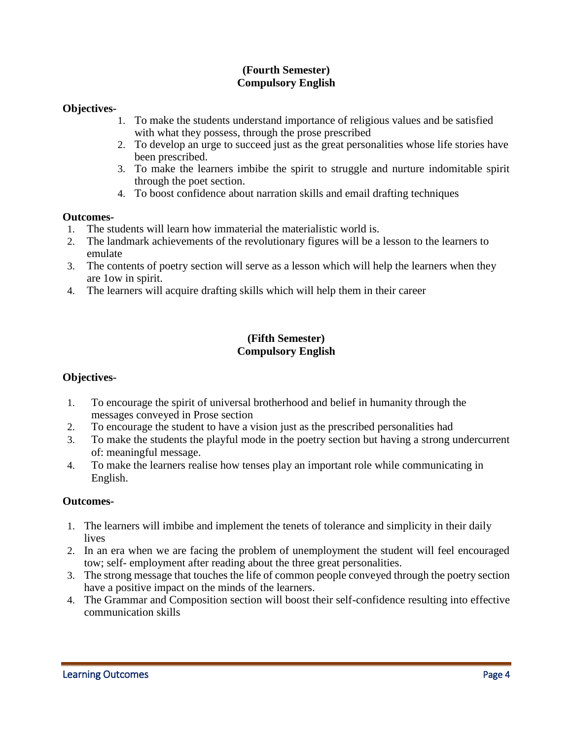## **(Fourth Semester) Compulsory English**

## **Objectives-**

- 1. To make the students understand importance of religious values and be satisfied with what they possess, through the prose prescribed
- 2. To develop an urge to succeed just as the great personalities whose life stories have been prescribed.
- 3. To make the learners imbibe the spirit to struggle and nurture indomitable spirit through the poet section.
- 4. To boost confidence about narration skills and email drafting techniques

#### **Outcomes-**

- 1. The students will learn how immaterial the materialistic world is.
- 2. The landmark achievements of the revolutionary figures will be a lesson to the learners to emulate
- 3. The contents of poetry section will serve as a lesson which will help the learners when they are 1ow in spirit.
- 4. The learners will acquire drafting skills which will help them in their career

## **(Fifth Semester) Compulsory English**

## **Objectives-**

- 1. To encourage the spirit of universal brotherhood and belief in humanity through the messages conveyed in Prose section
- 2. To encourage the student to have a vision just as the prescribed personalities had
- 3. To make the students the playful mode in the poetry section but having a strong undercurrent of: meaningful message.
- 4. To make the learners realise how tenses play an important role while communicating in English.

## **Outcomes-**

- 1. The learners will imbibe and implement the tenets of tolerance and simplicity in their daily lives
- 2. In an era when we are facing the problem of unemployment the student will feel encouraged tow; self- employment after reading about the three great personalities.
- 3. The strong message that touches the life of common people conveyed through the poetry section have a positive impact on the minds of the learners.
- 4. The Grammar and Composition section will boost their self-confidence resulting into effective communication skills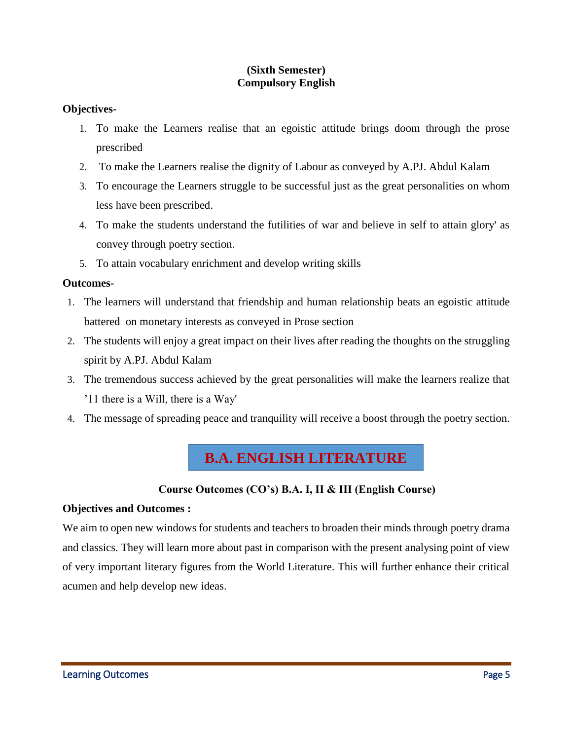## **(Sixth Semester) Compulsory English**

## **Objectives-**

- 1. To make the Learners realise that an egoistic attitude brings doom through the prose prescribed
- 2. To make the Learners realise the dignity of Labour as conveyed by A.PJ. Abdul Kalam
- 3. To encourage the Learners struggle to be successful just as the great personalities on whom less have been prescribed.
- 4. To make the students understand the futilities of war and believe in self to attain glory' as convey through poetry section.
- 5. To attain vocabulary enrichment and develop writing skills

## **Outcomes-**

- 1. The learners will understand that friendship and human relationship beats an egoistic attitude battered on monetary interests as conveyed in Prose section
- 2. The students will enjoy a great impact on their lives after reading the thoughts on the struggling spirit by A.PJ. Abdul Kalam
- 3. The tremendous success achieved by the great personalities will make the learners realize that '11 there is a Will, there is a Way'
- 4. The message of spreading peace and tranquility will receive a boost through the poetry section.

## **B.A. ENGLISH LITERATURE**

## **Course Outcomes (CO's) B.A. I, II & III (English Course)**

## **Objectives and Outcomes :**

We aim to open new windows for students and teachers to broaden their minds through poetry drama and classics. They will learn more about past in comparison with the present analysing point of view of very important literary figures from the World Literature. This will further enhance their critical acumen and help develop new ideas.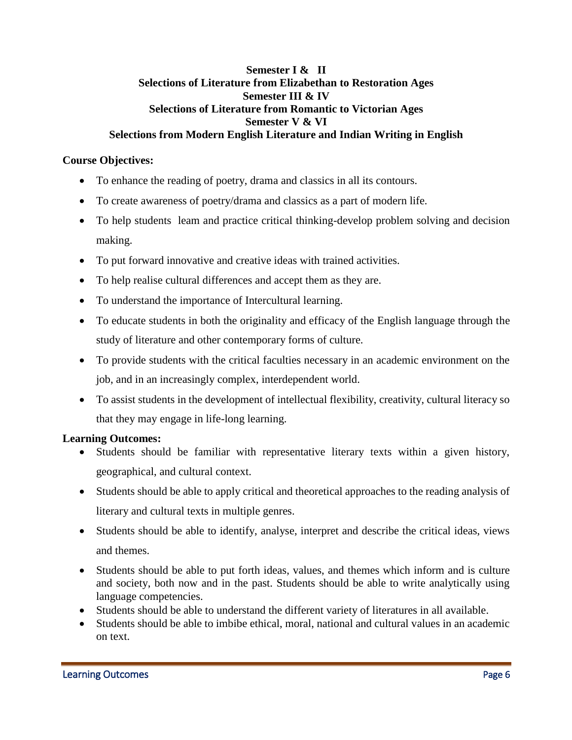### **Semester I & II Selections of Literature from Elizabethan to Restoration Ages Semester III & IV Selections of Literature from Romantic to Victorian Ages Semester V & VI Selections from Modern English Literature and Indian Writing in English**

## **Course Objectives:**

- To enhance the reading of poetry, drama and classics in all its contours.
- To create awareness of poetry/drama and classics as a part of modern life.
- To help students leam and practice critical thinking-develop problem solving and decision making.
- To put forward innovative and creative ideas with trained activities.
- To help realise cultural differences and accept them as they are.
- To understand the importance of Intercultural learning.
- To educate students in both the originality and efficacy of the English language through the study of literature and other contemporary forms of culture.
- To provide students with the critical faculties necessary in an academic environment on the job, and in an increasingly complex, interdependent world.
- To assist students in the development of intellectual flexibility, creativity, cultural literacy so that they may engage in life-long learning.

## **Learning Outcomes:**

- Students should be familiar with representative literary texts within a given history, geographical, and cultural context.
- Students should be able to apply critical and theoretical approaches to the reading analysis of literary and cultural texts in multiple genres.
- Students should be able to identify, analyse, interpret and describe the critical ideas, views and themes.
- Students should be able to put forth ideas, values, and themes which inform and is culture and society, both now and in the past. Students should be able to write analytically using language competencies.
- Students should be able to understand the different variety of literatures in all available.
- Students should be able to imbibe ethical, moral, national and cultural values in an academic on text.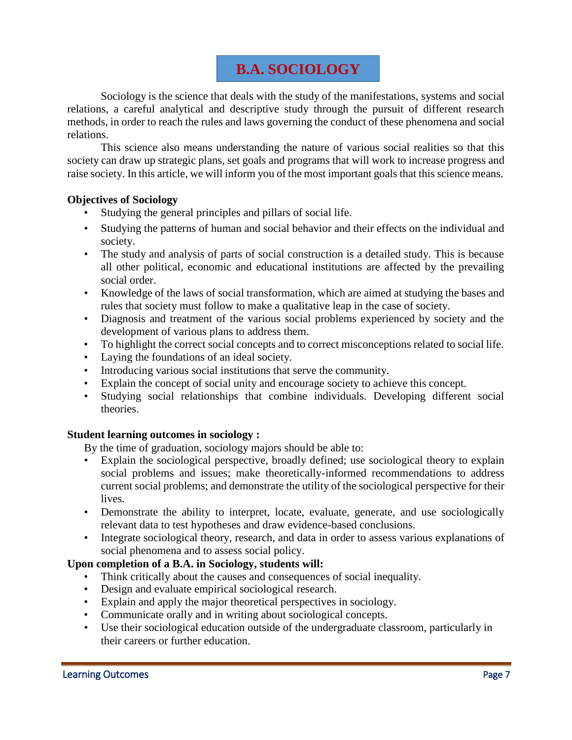## **B.A. SOCIOLOGY**

Sociology is the science that deals with the study of the manifestations, systems and social relations, a careful analytical and descriptive study through the pursuit of different research methods, in order to reach the rules and laws governing the conduct of these phenomena and social relations.

This science also means understanding the nature of various social realities so that this society can draw up strategic plans, set goals and programs that will work to increase progress and raise society. In this article, we will inform you of the most important goals that this science means.

#### **Objectives of Sociology**

- Studying the general principles and pillars of social life.
- Studying the patterns of human and social behavior and their effects on the individual and society.
- The study and analysis of parts of social construction is a detailed study. This is because all other political, economic and educational institutions are affected by the prevailing social order.
- Knowledge of the laws of social transformation, which are aimed at studying the bases and rules that society must follow to make a qualitative leap in the case of society.
- Diagnosis and treatment of the various social problems experienced by society and the development of various plans to address them.
- To highlight the correct social concepts and to correct misconceptions related to social life.
- Laying the foundations of an ideal society.
- Introducing various social institutions that serve the community.
- Explain the concept of social unity and encourage society to achieve this concept.
- Studying social relationships that combine individuals. Developing different social theories.

## **Student learning outcomes in sociology :**

By the time of graduation, sociology majors should be able to:

- Explain the sociological perspective, broadly defined; use sociological theory to explain social problems and issues; make theoretically-informed recommendations to address current social problems; and demonstrate the utility of the sociological perspective for their lives.
- Demonstrate the ability to interpret, locate, evaluate, generate, and use sociologically relevant data to test hypotheses and draw evidence-based conclusions.
- Integrate sociological theory, research, and data in order to assess various explanations of social phenomena and to assess social policy.

## **Upon completion of a B.A. in Sociology, students will:**

- Think critically about the causes and consequences of social inequality.
- Design and evaluate empirical sociological research.
- Explain and apply the major theoretical perspectives in sociology.
- Communicate orally and in writing about sociological concepts.
- Use their sociological education outside of the undergraduate classroom, particularly in their careers or further education.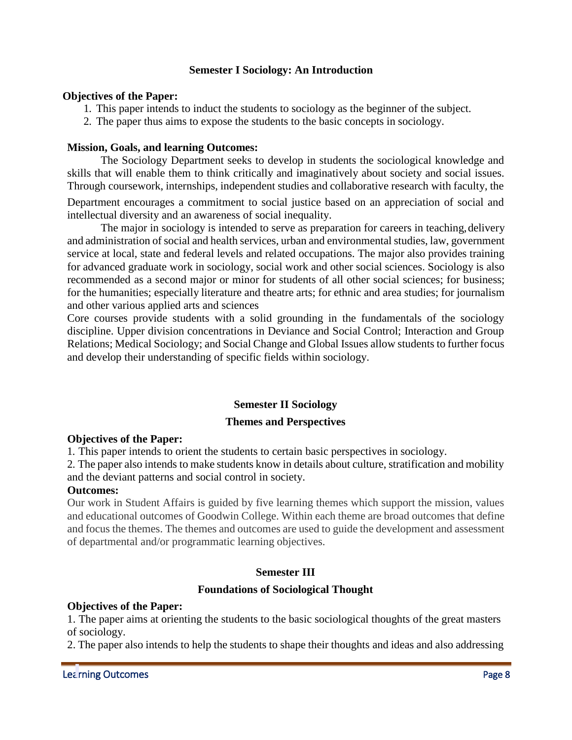#### **Semester I Sociology: An Introduction**

#### **Objectives of the Paper:**

- 1. This paper intends to induct the students to sociology as the beginner of the subject.
- 2. The paper thus aims to expose the students to the basic concepts in sociology.

#### **Mission, Goals, and learning Outcomes:**

The Sociology Department seeks to develop in students the sociological knowledge and skills that will enable them to think critically and imaginatively about society and social issues. Through coursework, internships, independent studies and collaborative research with faculty, the

Department encourages a commitment to social justice based on an appreciation of social and intellectual diversity and an awareness of social inequality.

The major in sociology is intended to serve as preparation for careers in teaching, delivery and administration of social and health services, urban and environmental studies, law, government service at local, state and federal levels and related occupations. The major also provides training for advanced graduate work in sociology, social work and other social sciences. Sociology is also recommended as a second major or minor for students of all other social sciences; for business; for the humanities; especially literature and theatre arts; for ethnic and area studies; for journalism and other various applied arts and sciences

Core courses provide students with a solid grounding in the fundamentals of the sociology discipline. Upper division concentrations in Deviance and Social Control; Interaction and Group Relations; Medical Sociology; and Social Change and Global Issues allow students to further focus and develop their understanding of specific fields within sociology.

## **Semester II Sociology**

#### **Themes and Perspectives**

#### **Objectives of the Paper:**

1. This paper intends to orient the students to certain basic perspectives in sociology.

2. The paper also intends to make students know in details about culture, stratification and mobility and the deviant patterns and social control in society.

#### **Outcomes:**

Our work in Student Affairs is guided by five learning themes which support the mission, values and educational outcomes of Goodwin College. Within each theme are broad outcomes that define and focus the themes. The themes and outcomes are used to guide the development and assessment of departmental and/or programmatic learning objectives.

## **Semester III**

## **Foundations of Sociological Thought**

## **Objectives of the Paper:**

1. The paper aims at orienting the students to the basic sociological thoughts of the great masters of sociology.

2. The paper also intends to help the students to shape their thoughts and ideas and also addressing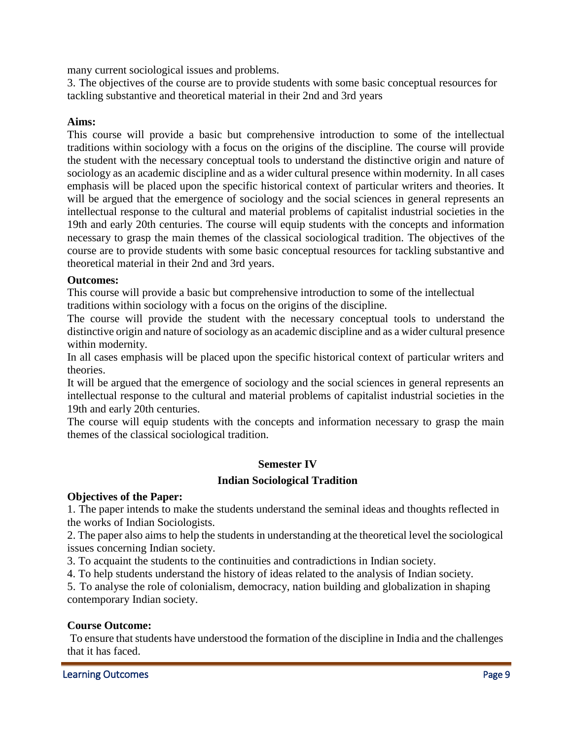many current sociological issues and problems.

3. The objectives of the course are to provide students with some basic conceptual resources for tackling substantive and theoretical material in their 2nd and 3rd years

#### **Aims:**

This course will provide a basic but comprehensive introduction to some of the intellectual traditions within sociology with a focus on the origins of the discipline. The course will provide the student with the necessary conceptual tools to understand the distinctive origin and nature of sociology as an academic discipline and as a wider cultural presence within modernity. In all cases emphasis will be placed upon the specific historical context of particular writers and theories. It will be argued that the emergence of sociology and the social sciences in general represents an intellectual response to the cultural and material problems of capitalist industrial societies in the 19th and early 20th centuries. The course will equip students with the concepts and information necessary to grasp the main themes of the classical sociological tradition. The objectives of the course are to provide students with some basic conceptual resources for tackling substantive and theoretical material in their 2nd and 3rd years.

#### **Outcomes:**

This course will provide a basic but comprehensive introduction to some of the intellectual traditions within sociology with a focus on the origins of the discipline.

The course will provide the student with the necessary conceptual tools to understand the distinctive origin and nature of sociology as an academic discipline and as a wider cultural presence within modernity.

In all cases emphasis will be placed upon the specific historical context of particular writers and theories.

It will be argued that the emergence of sociology and the social sciences in general represents an intellectual response to the cultural and material problems of capitalist industrial societies in the 19th and early 20th centuries.

The course will equip students with the concepts and information necessary to grasp the main themes of the classical sociological tradition.

#### **Semester IV**

#### **Indian Sociological Tradition**

#### **Objectives of the Paper:**

1. The paper intends to make the students understand the seminal ideas and thoughts reflected in the works of Indian Sociologists.

2. The paper also aims to help the students in understanding at the theoretical level the sociological issues concerning Indian society.

3. To acquaint the students to the continuities and contradictions in Indian society.

4. To help students understand the history of ideas related to the analysis of Indian society.

5. To analyse the role of colonialism, democracy, nation building and globalization in shaping contemporary Indian society.

#### **Course Outcome:**

To ensure that students have understood the formation of the discipline in India and the challenges that it has faced.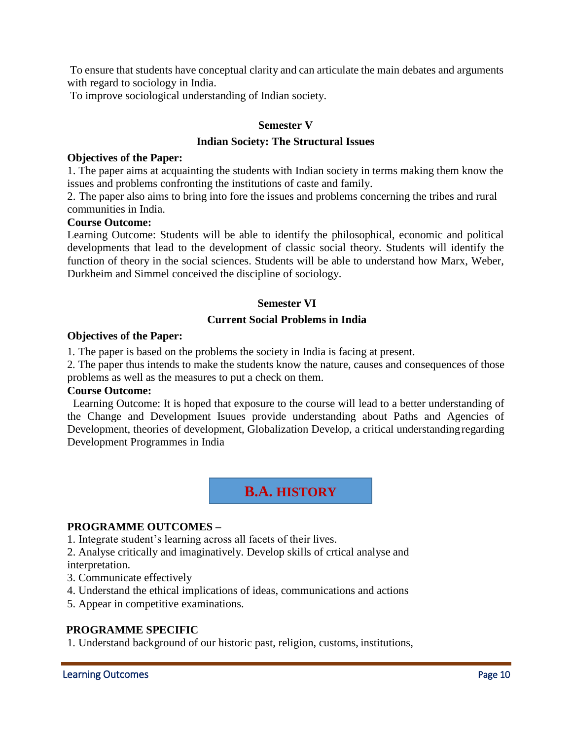To ensure that students have conceptual clarity and can articulate the main debates and arguments with regard to sociology in India.

To improve sociological understanding of Indian society.

### **Semester V**

#### **Indian Society: The Structural Issues**

#### **Objectives of the Paper:**

1. The paper aims at acquainting the students with Indian society in terms making them know the issues and problems confronting the institutions of caste and family.

2. The paper also aims to bring into fore the issues and problems concerning the tribes and rural communities in India.

#### **Course Outcome:**

Learning Outcome: Students will be able to identify the philosophical, economic and political developments that lead to the development of classic social theory. Students will identify the function of theory in the social sciences. Students will be able to understand how Marx, Weber, Durkheim and Simmel conceived the discipline of sociology.

#### **Semester VI**

#### **Current Social Problems in India**

#### **Objectives of the Paper:**

1. The paper is based on the problems the society in India is facing at present.

2. The paper thus intends to make the students know the nature, causes and consequences of those problems as well as the measures to put a check on them.

#### **Course Outcome:**

Learning Outcome: It is hoped that exposure to the course will lead to a better understanding of the Change and Development Isuues provide understanding about Paths and Agencies of Development, theories of development, Globalization Develop, a critical understandingregarding Development Programmes in India



#### **PROGRAMME OUTCOMES –**

1. Integrate student's learning across all facets of their lives.

2. Analyse critically and imaginatively. Develop skills of crtical analyse and interpretation.

- 3. Communicate effectively
- 4. Understand the ethical implications of ideas, communications and actions
- 5. Appear in competitive examinations.

#### **PROGRAMME SPECIFIC**

1. Understand background of our historic past, religion, customs, institutions,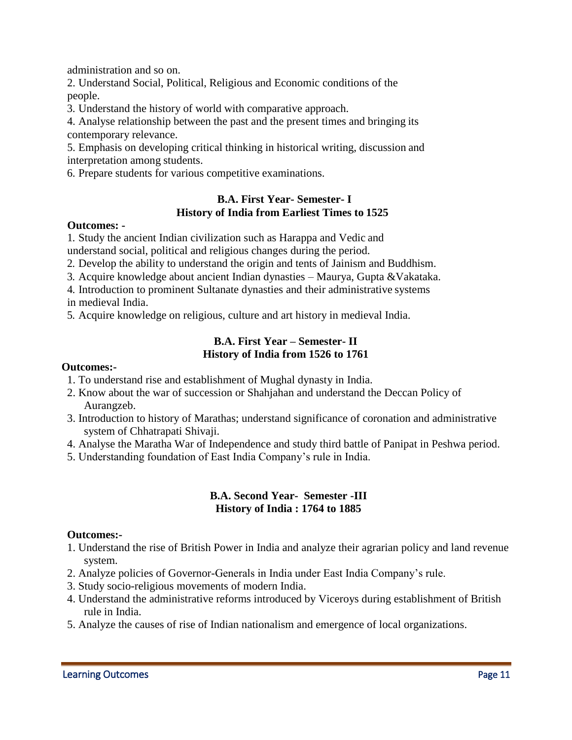administration and so on.

2. Understand Social, Political, Religious and Economic conditions of the people.

3. Understand the history of world with comparative approach.

4. Analyse relationship between the past and the present times and bringing its contemporary relevance.

5. Emphasis on developing critical thinking in historical writing, discussion and interpretation among students.

6. Prepare students for various competitive examinations.

## **B.A. First Year- Semester- I History of India from Earliest Times to 1525**

#### **Outcomes: -**

1. Study the ancient Indian civilization such as Harappa and Vedic and understand social, political and religious changes during the period.

2. Develop the ability to understand the origin and tents of Jainism and Buddhism.

3. Acquire knowledge about ancient Indian dynasties – Maurya, Gupta &Vakataka.

4. Introduction to prominent Sultanate dynasties and their administrative systems in medieval India.

5. Acquire knowledge on religious, culture and art history in medieval India.

## **B.A. First Year – Semester- II History of India from 1526 to 1761**

#### **Outcomes:-**

- 1. To understand rise and establishment of Mughal dynasty in India.
- 2. Know about the war of succession or Shahjahan and understand the Deccan Policy of Aurangzeb.
- 3. Introduction to history of Marathas; understand significance of coronation and administrative system of Chhatrapati Shivaji.
- 4. Analyse the Maratha War of Independence and study third battle of Panipat in Peshwa period.
- 5. Understanding foundation of East India Company's rule in India.

#### **B.A. Second Year- Semester -III History of India : 1764 to 1885**

#### **Outcomes:-**

- 1. Understand the rise of British Power in India and analyze their agrarian policy and land revenue system.
- 2. Analyze policies of Governor-Generals in India under East India Company's rule.
- 3. Study socio-religious movements of modern India.
- 4. Understand the administrative reforms introduced by Viceroys during establishment of British rule in India.
- 5. Analyze the causes of rise of Indian nationalism and emergence of local organizations.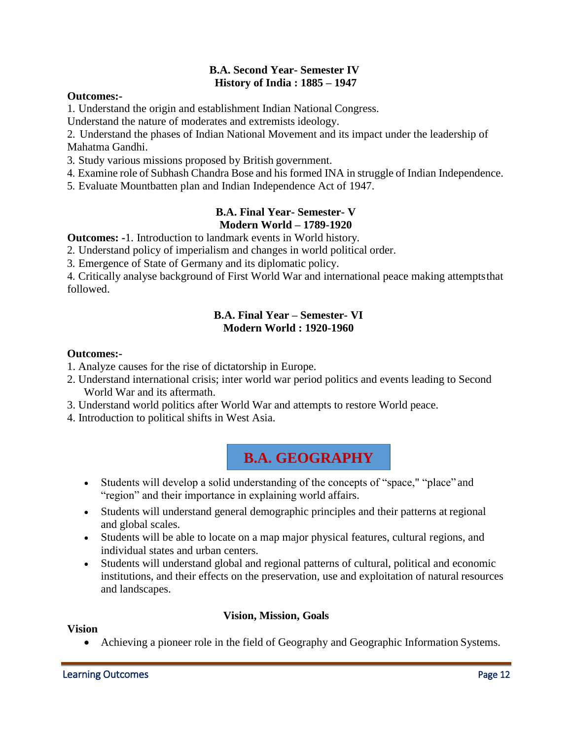## **B.A. Second Year- Semester IV History of India : 1885 – 1947**

#### **Outcomes:-**

1. Understand the origin and establishment Indian National Congress.

Understand the nature of moderates and extremists ideology.

2. Understand the phases of Indian National Movement and its impact under the leadership of Mahatma Gandhi.

3. Study various missions proposed by British government.

4. Examine role of Subhash Chandra Bose and his formed INA in struggle of Indian Independence.

5. Evaluate Mountbatten plan and Indian Independence Act of 1947.

### **B.A. Final Year- Semester- V Modern World – 1789-1920**

**Outcomes: -**1. Introduction to landmark events in World history.

2. Understand policy of imperialism and changes in world political order.

3. Emergence of State of Germany and its diplomatic policy.

4. Critically analyse background of First World War and international peace making attemptsthat followed.

## **B.A. Final Year – Semester- VI Modern World : 1920-1960**

#### **Outcomes:-**

1. Analyze causes for the rise of dictatorship in Europe.

- 2. Understand international crisis; inter world war period politics and events leading to Second World War and its aftermath.
- 3. Understand world politics after World War and attempts to restore World peace.
- 4. Introduction to political shifts in West Asia.



- Students will develop a solid understanding of the concepts of "space," "place" and "region" and their importance in explaining world affairs.
- Students will understand general demographic principles and their patterns at regional and global scales.
- Students will be able to locate on a map major physical features, cultural regions, and individual states and urban centers.
- Students will understand global and regional patterns of cultural, political and economic institutions, and their effects on the preservation, use and exploitation of natural resources and landscapes.

## **Vision, Mission, Goals**

#### **Vision**

Achieving a pioneer role in the field of Geography and Geographic Information Systems.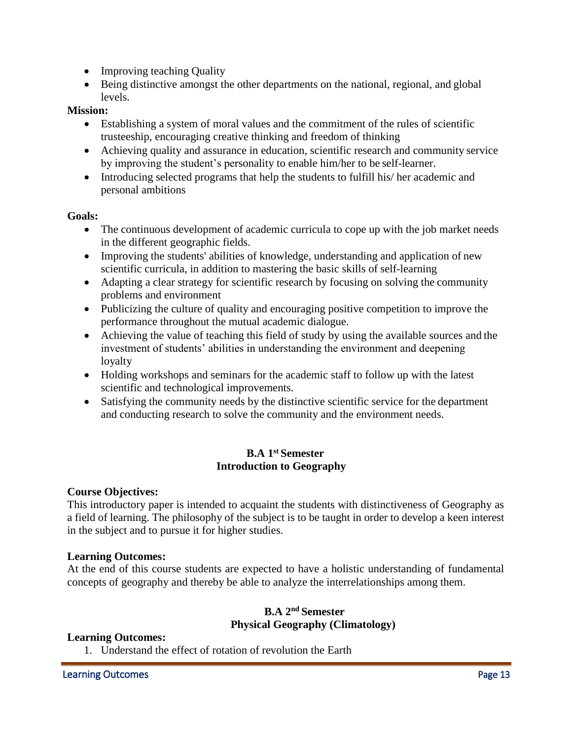- Improving teaching Quality
- Being distinctive amongst the other departments on the national, regional, and global levels.

#### **Mission:**

- Establishing a system of moral values and the commitment of the rules of scientific trusteeship, encouraging creative thinking and freedom of thinking
- Achieving quality and assurance in education, scientific research and community service by improving the student's personality to enable him/her to be self-learner.
- Introducing selected programs that help the students to fulfill his/ her academic and personal ambitions

#### **Goals:**

- The continuous development of academic curricula to cope up with the job market needs in the different geographic fields.
- Improving the students' abilities of knowledge, understanding and application of new scientific curricula, in addition to mastering the basic skills of self-learning
- Adapting a clear strategy for scientific research by focusing on solving the community problems and environment
- Publicizing the culture of quality and encouraging positive competition to improve the performance throughout the mutual academic dialogue.
- Achieving the value of teaching this field of study by using the available sources and the investment of students' abilities in understanding the environment and deepening loyalty
- Holding workshops and seminars for the academic staff to follow up with the latest scientific and technological improvements.
- Satisfying the community needs by the distinctive scientific service for the department and conducting research to solve the community and the environment needs.

## **B.A 1st Semester Introduction to Geography**

## **Course Objectives:**

This introductory paper is intended to acquaint the students with distinctiveness of Geography as a field of learning. The philosophy of the subject is to be taught in order to develop a keen interest in the subject and to pursue it for higher studies.

#### **Learning Outcomes:**

At the end of this course students are expected to have a holistic understanding of fundamental concepts of geography and thereby be able to analyze the interrelationships among them.

## **B.A 2nd Semester Physical Geography (Climatology)**

## **Learning Outcomes:**

1. Understand the effect of rotation of revolution the Earth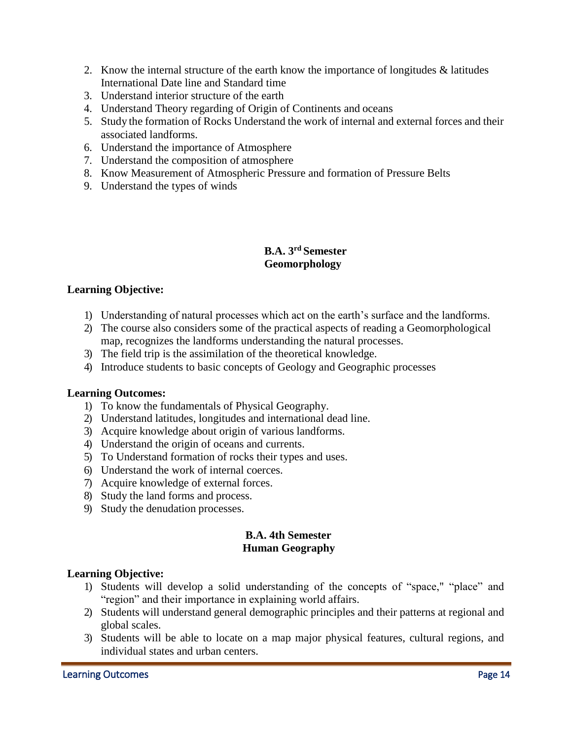- 2. Know the internal structure of the earth know the importance of longitudes & latitudes International Date line and Standard time
- 3. Understand interior structure of the earth
- 4. Understand Theory regarding of Origin of Continents and oceans
- 5. Study the formation of Rocks Understand the work of internal and external forces and their associated landforms.
- 6. Understand the importance of Atmosphere
- 7. Understand the composition of atmosphere
- 8. Know Measurement of Atmospheric Pressure and formation of Pressure Belts
- 9. Understand the types of winds

## **B.A. 3rd Semester Geomorphology**

## **Learning Objective:**

- 1) Understanding of natural processes which act on the earth's surface and the landforms.
- 2) The course also considers some of the practical aspects of reading a Geomorphological map, recognizes the landforms understanding the natural processes.
- 3) The field trip is the assimilation of the theoretical knowledge.
- 4) Introduce students to basic concepts of Geology and Geographic processes

## **Learning Outcomes:**

- 1) To know the fundamentals of Physical Geography.
- 2) Understand latitudes, longitudes and international dead line.
- 3) Acquire knowledge about origin of various landforms.
- 4) Understand the origin of oceans and currents.
- 5) To Understand formation of rocks their types and uses.
- 6) Understand the work of internal coerces.
- 7) Acquire knowledge of external forces.
- 8) Study the land forms and process.
- 9) Study the denudation processes.

## **B.A. 4th Semester Human Geography**

## **Learning Objective:**

- 1) Students will develop a solid understanding of the concepts of "space," "place" and "region" and their importance in explaining world affairs.
- 2) Students will understand general demographic principles and their patterns at regional and global scales.
- 3) Students will be able to locate on a map major physical features, cultural regions, and individual states and urban centers.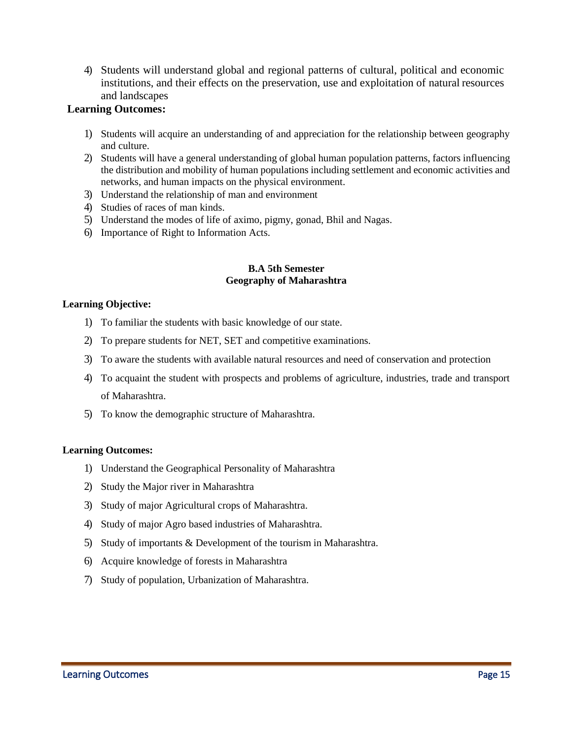4) Students will understand global and regional patterns of cultural, political and economic institutions, and their effects on the preservation, use and exploitation of natural resources and landscapes

#### **Learning Outcomes:**

- 1) Students will acquire an understanding of and appreciation for the relationship between geography and culture.
- 2) Students will have a general understanding of global human population patterns, factors influencing the distribution and mobility of human populations including settlement and economic activities and networks, and human impacts on the physical environment.
- 3) Understand the relationship of man and environment
- 4) Studies of races of man kinds.
- 5) Understand the modes of life of aximo, pigmy, gonad, Bhil and Nagas.
- 6) Importance of Right to Information Acts.

#### **B.A 5th Semester Geography of Maharashtra**

#### **Learning Objective:**

- 1) To familiar the students with basic knowledge of our state.
- 2) To prepare students for NET, SET and competitive examinations.
- 3) To aware the students with available natural resources and need of conservation and protection
- 4) To acquaint the student with prospects and problems of agriculture, industries, trade and transport of Maharashtra.
- 5) To know the demographic structure of Maharashtra.

#### **Learning Outcomes:**

- 1) Understand the Geographical Personality of Maharashtra
- 2) Study the Major river in Maharashtra
- 3) Study of major Agricultural crops of Maharashtra.
- 4) Study of major Agro based industries of Maharashtra.
- 5) Study of importants & Development of the tourism in Maharashtra.
- 6) Acquire knowledge of forests in Maharashtra
- 7) Study of population, Urbanization of Maharashtra.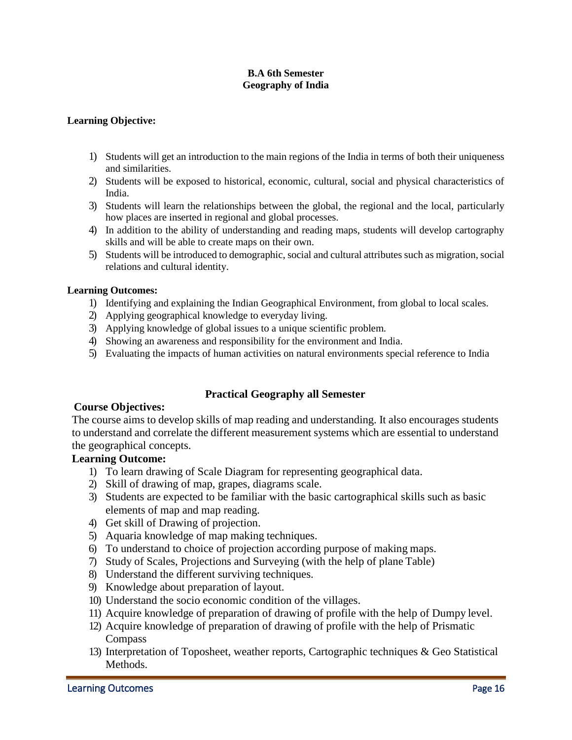#### **B.A 6th Semester Geography of India**

#### **Learning Objective:**

- 1) Students will get an introduction to the main regions of the India in terms of both their uniqueness and similarities.
- 2) Students will be exposed to historical, economic, cultural, social and physical characteristics of India.
- 3) Students will learn the relationships between the global, the regional and the local, particularly how places are inserted in regional and global processes.
- 4) In addition to the ability of understanding and reading maps, students will develop cartography skills and will be able to create maps on their own.
- 5) Students will be introduced to demographic, social and cultural attributes such as migration, social relations and cultural identity.

#### **Learning Outcomes:**

- 1) Identifying and explaining the Indian Geographical Environment, from global to local scales.
- 2) Applying geographical knowledge to everyday living.
- 3) Applying knowledge of global issues to a unique scientific problem.
- 4) Showing an awareness and responsibility for the environment and India.
- 5) Evaluating the impacts of human activities on natural environments special reference to India

#### **Practical Geography all Semester**

#### **Course Objectives:**

The course aims to develop skills of map reading and understanding. It also encourages students to understand and correlate the different measurement systems which are essential to understand the geographical concepts.

## **Learning Outcome:**

- 1) To learn drawing of Scale Diagram for representing geographical data.
- 2) Skill of drawing of map, grapes, diagrams scale.
- 3) Students are expected to be familiar with the basic cartographical skills such as basic elements of map and map reading.
- 4) Get skill of Drawing of projection.
- 5) Aquaria knowledge of map making techniques.
- 6) To understand to choice of projection according purpose of making maps.
- 7) Study of Scales, Projections and Surveying (with the help of plane Table)
- 8) Understand the different surviving techniques.
- 9) Knowledge about preparation of layout.
- 10) Understand the socio economic condition of the villages.
- 11) Acquire knowledge of preparation of drawing of profile with the help of Dumpy level.
- 12) Acquire knowledge of preparation of drawing of profile with the help of Prismatic Compass
- 13) Interpretation of Toposheet, weather reports, Cartographic techniques & Geo Statistical Methods.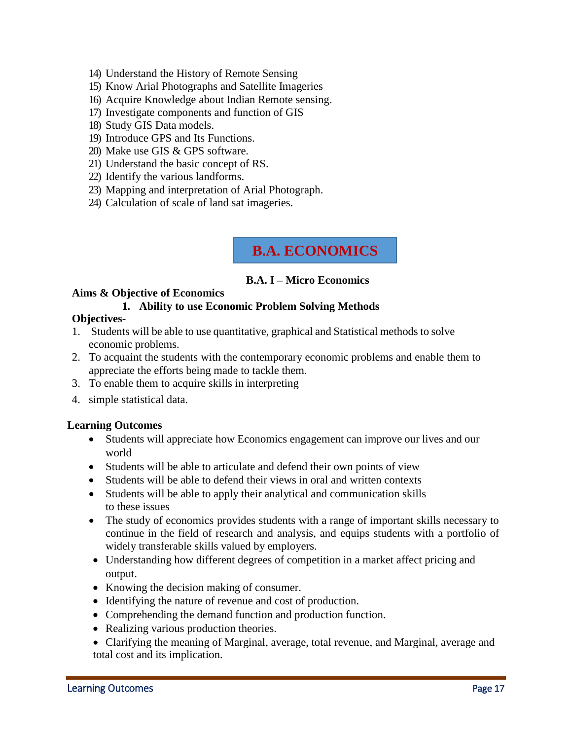- 14) Understand the History of Remote Sensing
- 15) Know Arial Photographs and Satellite Imageries
- 16) Acquire Knowledge about Indian Remote sensing.
- 17) Investigate components and function of GIS
- 18) Study GIS Data models.
- 19) Introduce GPS and Its Functions.
- 20) Make use GIS & GPS software.
- 21) Understand the basic concept of RS.
- 22) Identify the various landforms.
- 23) Mapping and interpretation of Arial Photograph.
- 24) Calculation of scale of land sat imageries.

## **B.A. ECONOMICS**

#### **B.A. I – Micro Economics**

#### **Aims & Objective of Economics 1. Ability to use Economic Problem Solving Methods**

#### **Objectives**-

- 1. Students will be able to use quantitative, graphical and Statistical methods to solve economic problems.
- 2. To acquaint the students with the contemporary economic problems and enable them to appreciate the efforts being made to tackle them.
- 3. To enable them to acquire skills in interpreting
- 4. simple statistical data.

#### **Learning Outcomes**

- Students will appreciate how Economics engagement can improve our lives and our world
- Students will be able to articulate and defend their own points of view
- Students will be able to defend their views in oral and written contexts
- Students will be able to apply their analytical and communication skills to these issues
- The study of economics provides students with a range of important skills necessary to continue in the field of research and analysis, and equips students with a portfolio of widely transferable skills valued by employers.
- Understanding how different degrees of competition in a market affect pricing and output.
- Knowing the decision making of consumer.
- Identifying the nature of revenue and cost of production.
- Comprehending the demand function and production function.
- Realizing various production theories.
- Clarifying the meaning of Marginal, average, total revenue, and Marginal, average and total cost and its implication.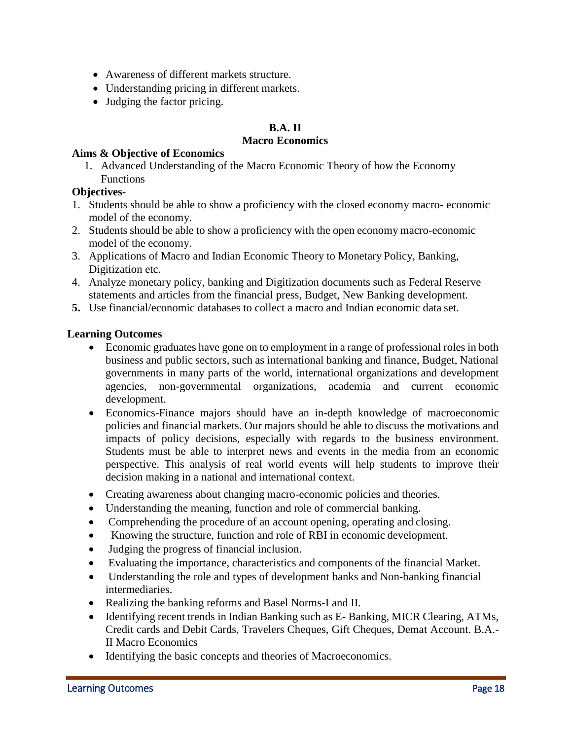- Awareness of different markets structure.
- Understanding pricing in different markets.
- Judging the factor pricing.

## **B.A. II**

## **Macro Economics**

## **Aims & Objective of Economics**

1. Advanced Understanding of the Macro Economic Theory of how the Economy Functions

## **Objectives-**

- 1. Students should be able to show a proficiency with the closed economy macro- economic model of the economy.
- 2. Students should be able to show a proficiency with the open economy macro-economic model of the economy.
- 3. Applications of Macro and Indian Economic Theory to Monetary Policy, Banking, Digitization etc.
- 4. Analyze monetary policy, banking and Digitization documents such as Federal Reserve statements and articles from the financial press, Budget, New Banking development.
- **5.** Use financial/economic databases to collect a macro and Indian economic data set.

## **Learning Outcomes**

- Economic graduates have gone on to employment in a range of professional roles in both business and public sectors, such as international banking and finance, Budget, National governments in many parts of the world, international organizations and development agencies, non-governmental organizations, academia and current economic development.
- Economics-Finance majors should have an in-depth knowledge of macroeconomic policies and financial markets. Our majors should be able to discuss the motivations and impacts of policy decisions, especially with regards to the business environment. Students must be able to interpret news and events in the media from an economic perspective. This analysis of real world events will help students to improve their decision making in a national and international context.
- Creating awareness about changing macro-economic policies and theories.
- Understanding the meaning, function and role of commercial banking.
- Comprehending the procedure of an account opening, operating and closing.
- Knowing the structure, function and role of RBI in economic development.
- Judging the progress of financial inclusion.
- Evaluating the importance, characteristics and components of the financial Market.
- Understanding the role and types of development banks and Non-banking financial intermediaries.
- Realizing the banking reforms and Basel Norms-I and II.
- Identifying recent trends in Indian Banking such as E-Banking, MICR Clearing, ATMs, Credit cards and Debit Cards, Travelers Cheques, Gift Cheques, Demat Account. B.A.- II Macro Economics
- Identifying the basic concepts and theories of Macroeconomics.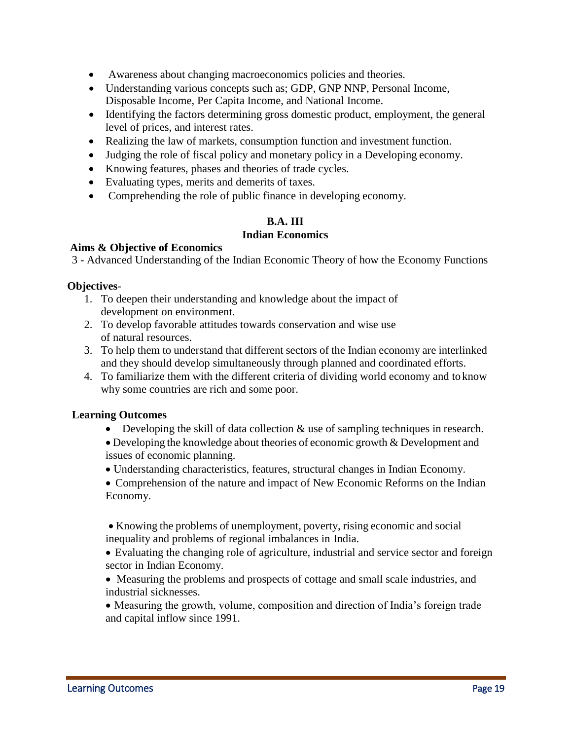- Awareness about changing macroeconomics policies and theories.
- Understanding various concepts such as; GDP, GNP NNP, Personal Income, Disposable Income, Per Capita Income, and National Income.
- Identifying the factors determining gross domestic product, employment, the general level of prices, and interest rates.
- Realizing the law of markets, consumption function and investment function.
- Judging the role of fiscal policy and monetary policy in a Developing economy.
- Knowing features, phases and theories of trade cycles.
- Evaluating types, merits and demerits of taxes.
- Comprehending the role of public finance in developing economy.

## **B.A. III Indian Economics**

## **Aims & Objective of Economics**

3 - Advanced Understanding of the Indian Economic Theory of how the Economy Functions

## **Objectives**-

- 1. To deepen their understanding and knowledge about the impact of development on environment.
- 2. To develop favorable attitudes towards conservation and wise use of natural resources.
- 3. To help them to understand that different sectors of the Indian economy are interlinked and they should develop simultaneously through planned and coordinated efforts.
- 4. To familiarize them with the different criteria of dividing world economy and to know why some countries are rich and some poor.

## **Learning Outcomes**

- $\bullet$  Developing the skill of data collection  $\&$  use of sampling techniques in research.
- Developing the knowledge about theories of economic growth & Development and issues of economic planning.
- Understanding characteristics, features, structural changes in Indian Economy.

 Comprehension of the nature and impact of New Economic Reforms on the Indian Economy.

- Knowing the problems of unemployment, poverty, rising economic and social inequality and problems of regional imbalances in India.
- Evaluating the changing role of agriculture, industrial and service sector and foreign sector in Indian Economy.
- Measuring the problems and prospects of cottage and small scale industries, and industrial sicknesses.

 Measuring the growth, volume, composition and direction of India's foreign trade and capital inflow since 1991.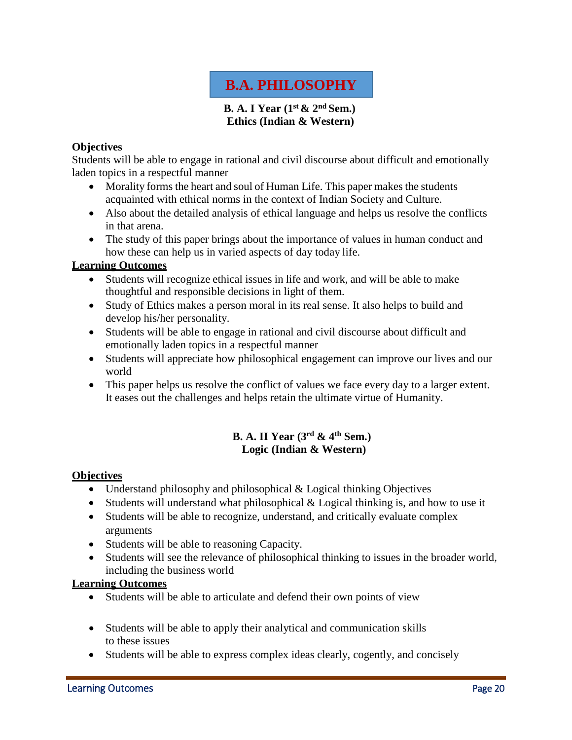## **B.A. PHILOSOPHY**

## **B. A. I Year (1st & 2nd Sem.) Ethics (Indian & Western)**

### **Objectives**

Students will be able to engage in rational and civil discourse about difficult and emotionally laden topics in a respectful manner

- Morality forms the heart and soul of Human Life. This paper makes the students acquainted with ethical norms in the context of Indian Society and Culture.
- Also about the detailed analysis of ethical language and helps us resolve the conflicts in that arena.
- The study of this paper brings about the importance of values in human conduct and how these can help us in varied aspects of day today life.

#### **Learning Outcomes**

- Students will recognize ethical issues in life and work, and will be able to make thoughtful and responsible decisions in light of them.
- Study of Ethics makes a person moral in its real sense. It also helps to build and develop his/her personality.
- Students will be able to engage in rational and civil discourse about difficult and emotionally laden topics in a respectful manner
- Students will appreciate how philosophical engagement can improve our lives and our world
- This paper helps us resolve the conflict of values we face every day to a larger extent. It eases out the challenges and helps retain the ultimate virtue of Humanity.

## **B. A. II Year (3rd & 4th Sem.) Logic (Indian & Western)**

#### **Objectives**

- Understand philosophy and philosophical & Logical thinking Objectives
- Students will understand what philosophical & Logical thinking is, and how to use it
- Students will be able to recognize, understand, and critically evaluate complex arguments
- Students will be able to reasoning Capacity.
- Students will see the relevance of philosophical thinking to issues in the broader world, including the business world

## **Learning Outcomes**

- Students will be able to articulate and defend their own points of view
- Students will be able to apply their analytical and communication skills to these issues
- Students will be able to express complex ideas clearly, cogently, and concisely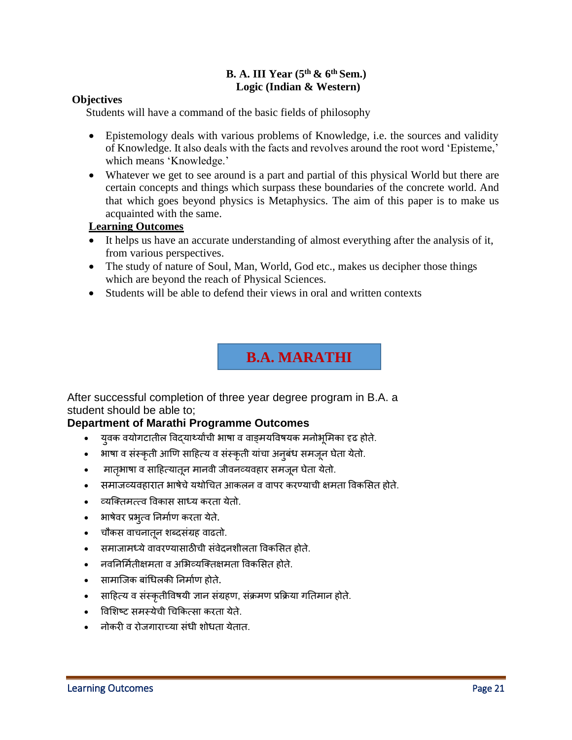## **B. A. III Year (5th & 6th Sem.) Logic (Indian & Western)**

#### **Objectives**

Students will have a command of the basic fields of philosophy

- Epistemology deals with various problems of Knowledge, i.e. the sources and validity of Knowledge. It also deals with the facts and revolves around the root word 'Episteme,' which means 'Knowledge.'
- Whatever we get to see around is a part and partial of this physical World but there are certain concepts and things which surpass these boundaries of the concrete world. And that which goes beyond physics is Metaphysics. The aim of this paper is to make us acquainted with the same.

#### **Learning Outcomes**

- It helps us have an accurate understanding of almost everything after the analysis of it, from various perspectives.
- The study of nature of Soul, Man, World, God etc., makes us decipher those things which are beyond the reach of Physical Sciences.
- Students will be able to defend their views in oral and written contexts

**B.A. MARATHI**

After successful completion of three year degree program in B.A. a student should be able to;

## **Department of Marathi Programme Outcomes**

- युवक वयोगटातील विद्यार्थ्यांची भाषा व वाङ्मयविषयक मनोभूमिका दृढ होते.
- भाषा व संस्कृती आणि साहहत्य व संस्कृती यांचा अनुबंध समजून घेता येतो.
- मातृभाषा व साहित्यातून मानवी जीवनव्यवहार समजून घेता येतो.
- समाजव्यवहारात भाषेचेयथोचचत आकलन व वापर करण्याची क्षमता ववकमसत होते.
- व्यक्ततमत्त्व ववकास साध्य करता येतो.
- भाषेवर प्रभुत्व निर्माण करता येते.
- चौकस वाचनातून शब्दसंग्रह वाढतो.
- समाजामध्येवावरण्यासाठीची संवेदनशीलता ववकमसत होते.
- नवननममातीक्षमता व अमभव्यक्ततक्षमता ववकमसत होते.
- सामाक्जक बांचधलकी ननमााि होते.
- साहित्य व संस्कृतीविषयी ज्ञान संग्रहण, संक्रमण प्रक्रिया गतिमान होते.
- विशिष्ट समस्येची चिकित्सा करता येते.
- नोकरी व रोजगाराच्या संधी शोधता येतात.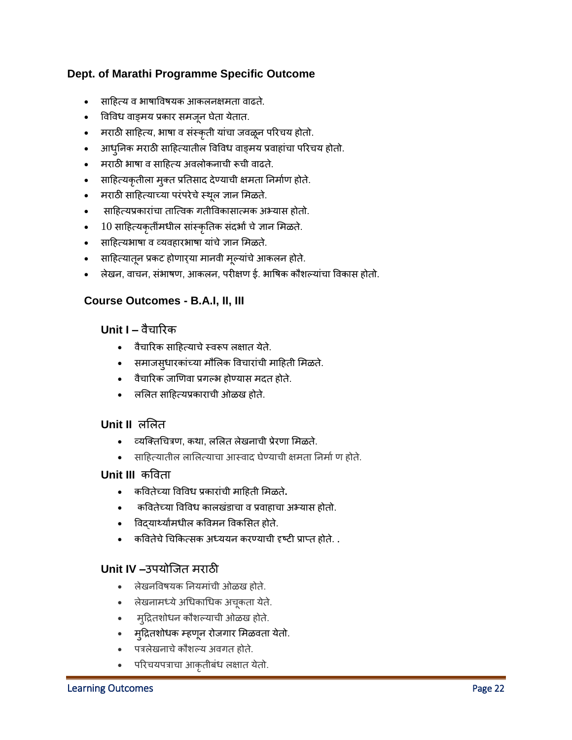## **Dept. of Marathi Programme Specific Outcome**

- साहहत्य व भाषाववषयक आकलनक्षमता वाढते.
- विविध वाङ्मय प्रकार समजून घेता येतात.
- मराठी साहहत्य, भाषा व संस्कृती यांचा जवळून पररचय होतो.
- आधुननक मराठी साहहत्यातील ववववध वाङ्मय प्रवाहांचा पररचय होतो.
- मराठी भाषा व साहहत्य अवलोकनाची रूची वाढते.
- साहित्यकृतीला मुक्त प्रतिसाद देण्याची क्षमता निर्माण होते.
- मराठी साहित्याच्या परंपरेचे स्थूल ज्ञान मिळते.
- साहहत्यप्रकारांचा ताक्त्वक गतीववकासात्मक अभ्यास होतो.
- $10\,$ साहित्यकृतींमधील सांस्कृतिक संदर्भां चे ज्ञान मिळते.
- साहित्यभाषा व व्यवहारभाषा यांचे ज्ञान मिळते.
- साहित्यातून प्रकट होणार्या मानवी मूल्यांचे आकलन होते.
- लेखन, वाचन, संभाषण, आकलन, परीक्षण ई. भाषिक कौशल्यांचा विकास होतो.

## **Course Outcomes - B.A.I, II, III**

## **Unit I –** वैचाररक

- वैचारिक साहित्याचे स्वरूप लक्षात येते.
- समाजसुधारकांच्या मौमलक ववचारांची माहहती ममळते.
- वैचाररक जाणिवा प्रगलभ होण्यास मदत होते.
- लमलत साहहत्यप्रकाराची ओळख होते.

## **Unit II** ललित

- व्यक्तिचित्रण, कथा, ललित लेखनाची प्रेरणा मिळते.
- साहित्यातील लालित्याचा आस्वाद घेण्याची क्षमता निर्मा ण होते.

### **Unit III** कववता

- कववतेच्या ववववध प्रकारांची माहहती ममळते**.**
- कववतेच्या ववववध कालखंडाचा व प्रवाहाचा अभ्यास होतो.
- विद्यार्थ्यांमधील कविमन विकसित होते.
- $\bullet$  कवितेचे चिकित्सक अध्ययन करण्याची दृष्टी प्राप्त होते. .

#### **Unit IV –**उपयोक्जत मराठी

- लेखनववषयक ननयमांची ओळख होते.
- लेखनामध्येअचधकाचधक अचूकता येते.
- मुहितशोधन कौशलयाची ओळख होते.
- मुद्रितशोधक म्हणून रोजगार मिळवता येतो.
- पत्रलेखनाचेकौशलय अवगत होते.
- पररचयपत्राचा आकृतीबंध लक्षात येतो.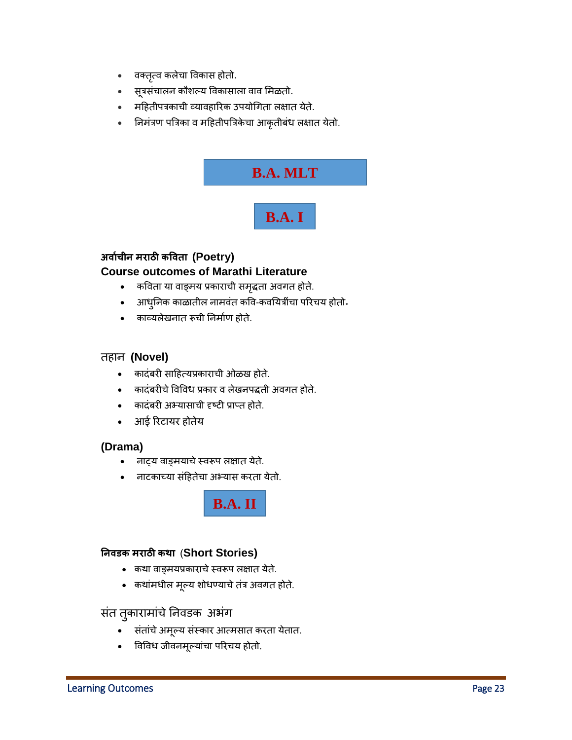- वततत्ृव कलेचा ववकास होतो.
- सूत्रसंचालन कौशलय ववकासाला वाव ममळतो.
- महहतीपत्रकाची व्यावहाररक उपयोचगता लक्षात येते.
- ननमंत्रि पत्रत्रका व महहतीपत्रत्रके चा आकृतीबंध लक्षात येतो.



## **अर्वाचीन मरवठी कवर्तव (Poetry) Course outcomes of Marathi Literature**

- कविता या वाङ्मय प्रकाराची समृद्धता अवगत होते.
- आधुननक काळातील नामवंत कवव-कवनयत्रींचा पररचय होतो॰
- काव्यलेखनात रूची निर्माण होते.

#### तहान **(Novel)**

- कादंबरी साहहत्यप्रकाराची ओळख होते.
- कादंबरीचे विविध प्रकार व लेखनपद्धती अवगत होते.
- कादंबरी अभ्यासाची दृष्टी प्राप्त होते.
- आई ररटायर होतेय

## **(Drama)**

- नाट्य वाङ्मयाचे स्वरूप लक्षात येते.
- नाटकाच्या संहहतेचा अभ्यास करता येतो.



#### **ननर्डक मरवठी कथव** (**Short Stories)**

- कथा वाङ्मयप्रकाराचे स्वरूप लक्षात येते.
- कथांमधील मूलय शोधण्याचेतंत्र अवगत होते.

## संत तुकारामांचे निवडक अभंग

- संतांचेअमूलय संस्कार आत्मसात करता येतात.
- विविध जीवनमूल्यांचा परिचय होतो.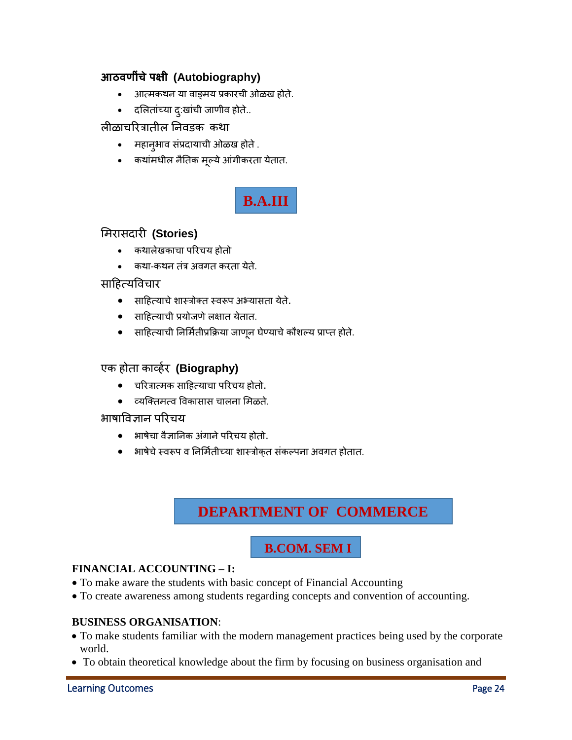## **आठर्णीींचेपक्षी (Autobiography)**

- आत्मकथन या वाङ्मय प्रकारची ओळख होते.
- दलितांच्या दु:खांची जाणीव होते..

लीळाचररत्रातील ननवडक कथा

- महानुभाव संप्रदायाची ओळख होते.
- कथांमधील नैतिक मूल्ये आंगीकरता येतात.

**B.A.III**

## ममरासदारी **(Stories)**

- कथालेखकाचा पररचय होतो
- कथा-कथन तंत्र अवगत करता येते.

## साहहत्यववचार

- साहहत्याचेशास्त्रोतत स्वरूप अभ्यासता येते.
- साहित्याची प्रयोजणे लक्षात येतात.
- $\bullet$  साहित्याची निर्मितीप्रक्रिया जाणून घेण्याचे कौशल्य प्राप्त होते.

## एक होता काव्हार **(Biography)**

- चररत्रात्मक साहहत्याचा पररचय होतो.
- व्यक्ततमत्व ववकासास चालना ममळते.

## भाषाविज्ञान परिचय

- भाषेचा वैज्ञाननक अंगानेपररचय होतो.
- $\bullet$  भाषेचे स्वरूप व निर्मितीच्या शास्त्रोकृत संकल्पना अवगत होतात.

## **DEPARTMENT OF COMMERCE**

## **B.COM. SEM I**

## **FINANCIAL ACCOUNTING – I:**

- To make aware the students with basic concept of Financial Accounting
- To create awareness among students regarding concepts and convention of accounting.

#### **BUSINESS ORGANISATION**:

- To make students familiar with the modern management practices being used by the corporate world.
- To obtain theoretical knowledge about the firm by focusing on business organisation and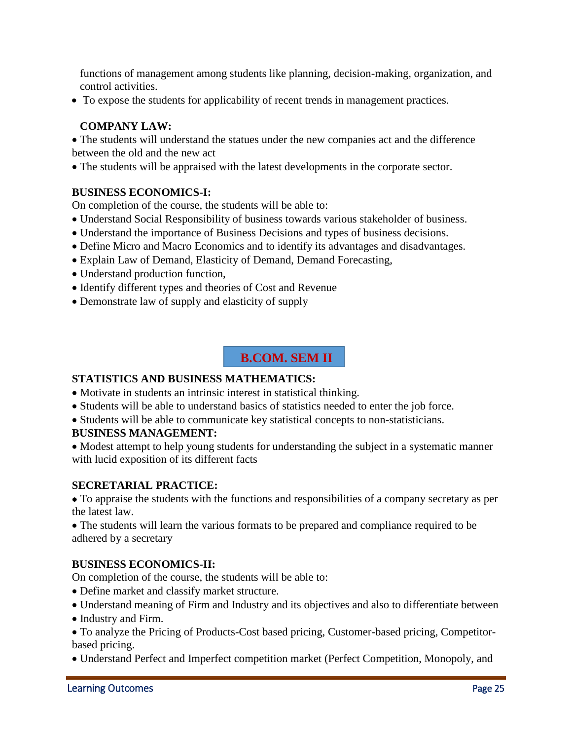functions of management among students like planning, decision-making, organization, and control activities.

To expose the students for applicability of recent trends in management practices.

## **COMPANY LAW:**

 The students will understand the statues under the new companies act and the difference between the old and the new act

The students will be appraised with the latest developments in the corporate sector.

## **BUSINESS ECONOMICS-I:**

On completion of the course, the students will be able to:

- Understand Social Responsibility of business towards various stakeholder of business.
- Understand the importance of Business Decisions and types of business decisions.
- Define Micro and Macro Economics and to identify its advantages and disadvantages.
- Explain Law of Demand, Elasticity of Demand, Demand Forecasting,
- Understand production function,
- Identify different types and theories of Cost and Revenue
- Demonstrate law of supply and elasticity of supply

## **B.COM. SEM II**

## **STATISTICS AND BUSINESS MATHEMATICS:**

- Motivate in students an intrinsic interest in statistical thinking.
- Students will be able to understand basics of statistics needed to enter the job force.
- Students will be able to communicate key statistical concepts to non-statisticians.

## **BUSINESS MANAGEMENT:**

 Modest attempt to help young students for understanding the subject in a systematic manner with lucid exposition of its different facts

## **SECRETARIAL PRACTICE:**

 To appraise the students with the functions and responsibilities of a company secretary as per the latest law.

 The students will learn the various formats to be prepared and compliance required to be adhered by a secretary

## **BUSINESS ECONOMICS-II:**

On completion of the course, the students will be able to:

- Define market and classify market structure.
- Understand meaning of Firm and Industry and its objectives and also to differentiate between
- Industry and Firm.
- To analyze the Pricing of Products-Cost based pricing, Customer-based pricing, Competitorbased pricing.
- Understand Perfect and Imperfect competition market (Perfect Competition, Monopoly, and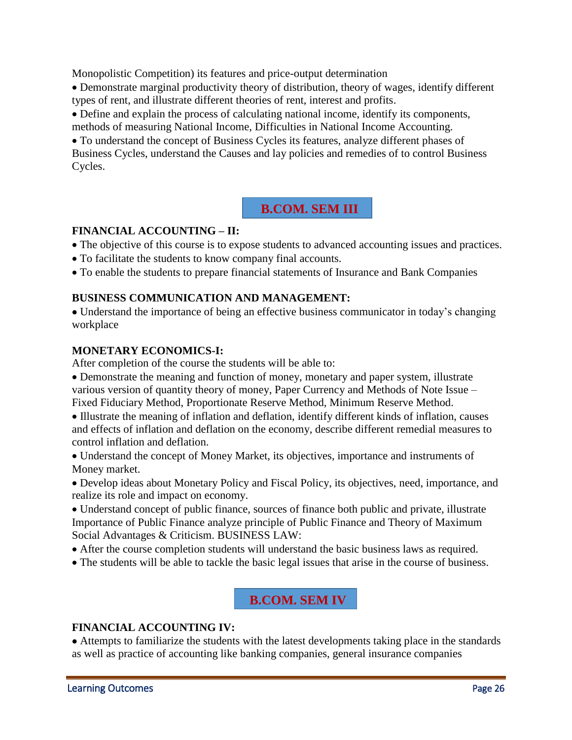Monopolistic Competition) its features and price-output determination

 Demonstrate marginal productivity theory of distribution, theory of wages, identify different types of rent, and illustrate different theories of rent, interest and profits.

 Define and explain the process of calculating national income, identify its components, methods of measuring National Income, Difficulties in National Income Accounting.

 To understand the concept of Business Cycles its features, analyze different phases of Business Cycles, understand the Causes and lay policies and remedies of to control Business Cycles.

## **B.COM. SEM III**

## **FINANCIAL ACCOUNTING – II:**

- The objective of this course is to expose students to advanced accounting issues and practices.
- To facilitate the students to know company final accounts.
- To enable the students to prepare financial statements of Insurance and Bank Companies

## **BUSINESS COMMUNICATION AND MANAGEMENT:**

 Understand the importance of being an effective business communicator in today's changing workplace

## **MONETARY ECONOMICS-I:**

After completion of the course the students will be able to:

 Demonstrate the meaning and function of money, monetary and paper system, illustrate various version of quantity theory of money, Paper Currency and Methods of Note Issue – Fixed Fiduciary Method, Proportionate Reserve Method, Minimum Reserve Method.

 Illustrate the meaning of inflation and deflation, identify different kinds of inflation, causes and effects of inflation and deflation on the economy, describe different remedial measures to control inflation and deflation.

 Understand the concept of Money Market, its objectives, importance and instruments of Money market.

 Develop ideas about Monetary Policy and Fiscal Policy, its objectives, need, importance, and realize its role and impact on economy.

 Understand concept of public finance, sources of finance both public and private, illustrate Importance of Public Finance analyze principle of Public Finance and Theory of Maximum Social Advantages & Criticism. BUSINESS LAW:

After the course completion students will understand the basic business laws as required.

The students will be able to tackle the basic legal issues that arise in the course of business.

## **B.COM. SEM IV**

## **FINANCIAL ACCOUNTING IV:**

 Attempts to familiarize the students with the latest developments taking place in the standards as well as practice of accounting like banking companies, general insurance companies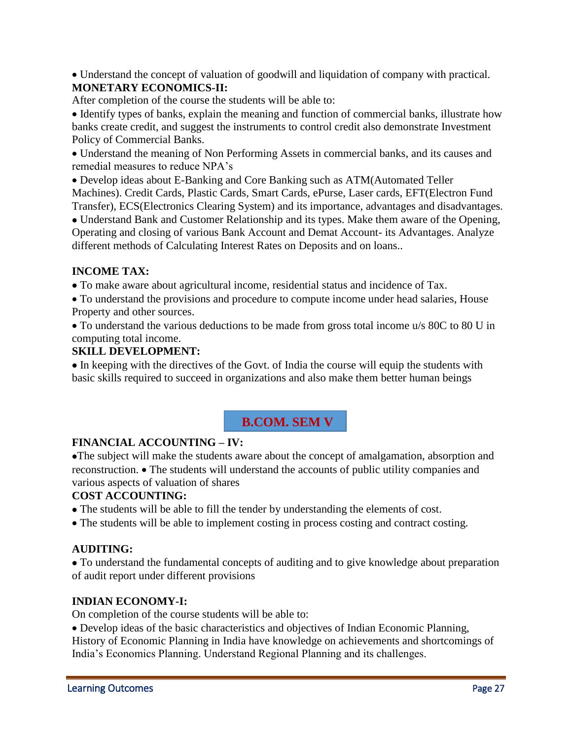Understand the concept of valuation of goodwill and liquidation of company with practical. **MONETARY ECONOMICS-II:** 

After completion of the course the students will be able to:

• Identify types of banks, explain the meaning and function of commercial banks, illustrate how banks create credit, and suggest the instruments to control credit also demonstrate Investment Policy of Commercial Banks.

 Understand the meaning of Non Performing Assets in commercial banks, and its causes and remedial measures to reduce NPA's

 Develop ideas about E-Banking and Core Banking such as ATM(Automated Teller Machines). Credit Cards, Plastic Cards, Smart Cards, ePurse, Laser cards, EFT(Electron Fund Transfer), ECS(Electronics Clearing System) and its importance, advantages and disadvantages.

 Understand Bank and Customer Relationship and its types. Make them aware of the Opening, Operating and closing of various Bank Account and Demat Account- its Advantages. Analyze different methods of Calculating Interest Rates on Deposits and on loans..

## **INCOME TAX:**

To make aware about agricultural income, residential status and incidence of Tax.

 To understand the provisions and procedure to compute income under head salaries, House Property and other sources.

 To understand the various deductions to be made from gross total income u/s 80C to 80 U in computing total income.

## **SKILL DEVELOPMENT:**

 In keeping with the directives of the Govt. of India the course will equip the students with basic skills required to succeed in organizations and also make them better human beings

## **B.COM. SEM V**

## **FINANCIAL ACCOUNTING – IV:**

The subject will make the students aware about the concept of amalgamation, absorption and reconstruction. • The students will understand the accounts of public utility companies and various aspects of valuation of shares

## **COST ACCOUNTING:**

- The students will be able to fill the tender by understanding the elements of cost.
- The students will be able to implement costing in process costing and contract costing.

## **AUDITING:**

 To understand the fundamental concepts of auditing and to give knowledge about preparation of audit report under different provisions

## **INDIAN ECONOMY-I:**

On completion of the course students will be able to:

Develop ideas of the basic characteristics and objectives of Indian Economic Planning,

History of Economic Planning in India have knowledge on achievements and shortcomings of India's Economics Planning. Understand Regional Planning and its challenges.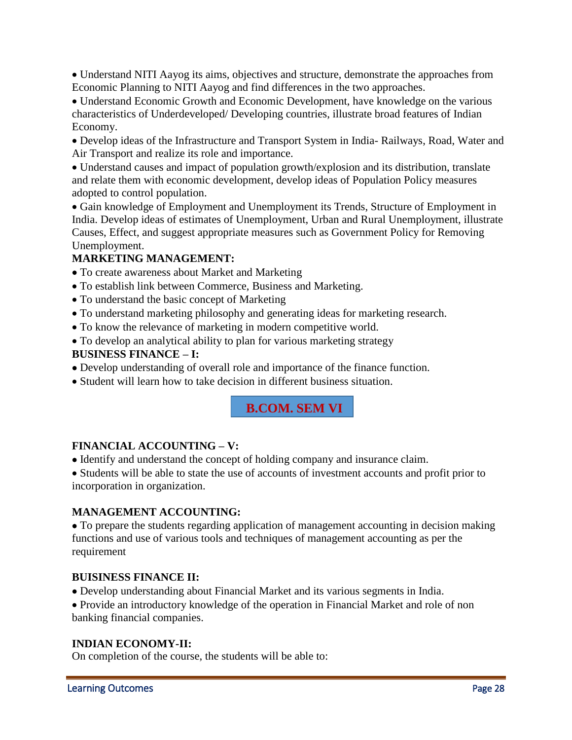Understand NITI Aayog its aims, objectives and structure, demonstrate the approaches from Economic Planning to NITI Aayog and find differences in the two approaches.

 Understand Economic Growth and Economic Development, have knowledge on the various characteristics of Underdeveloped/ Developing countries, illustrate broad features of Indian Economy.

 Develop ideas of the Infrastructure and Transport System in India- Railways, Road, Water and Air Transport and realize its role and importance.

 Understand causes and impact of population growth/explosion and its distribution, translate and relate them with economic development, develop ideas of Population Policy measures adopted to control population.

 Gain knowledge of Employment and Unemployment its Trends, Structure of Employment in India. Develop ideas of estimates of Unemployment, Urban and Rural Unemployment, illustrate Causes, Effect, and suggest appropriate measures such as Government Policy for Removing Unemployment.

## **MARKETING MANAGEMENT:**

- To create awareness about Market and Marketing
- To establish link between Commerce, Business and Marketing.
- To understand the basic concept of Marketing
- To understand marketing philosophy and generating ideas for marketing research.
- To know the relevance of marketing in modern competitive world.
- To develop an analytical ability to plan for various marketing strategy

#### **BUSINESS FINANCE – I:**

- Develop understanding of overall role and importance of the finance function.
- Student will learn how to take decision in different business situation.

**B.COM. SEM VI**

## **FINANCIAL ACCOUNTING – V:**

Identify and understand the concept of holding company and insurance claim.

 Students will be able to state the use of accounts of investment accounts and profit prior to incorporation in organization.

#### **MANAGEMENT ACCOUNTING:**

 To prepare the students regarding application of management accounting in decision making functions and use of various tools and techniques of management accounting as per the requirement

#### **BUISINESS FINANCE II:**

Develop understanding about Financial Market and its various segments in India.

 Provide an introductory knowledge of the operation in Financial Market and role of non banking financial companies.

#### **INDIAN ECONOMY-II:**

On completion of the course, the students will be able to: